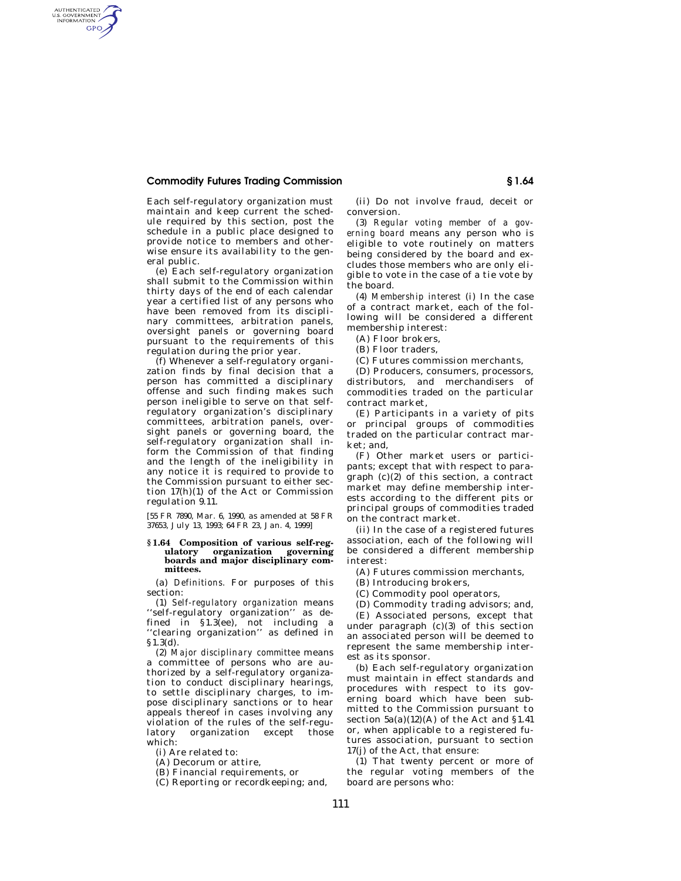## **Commodity Futures Trading Commission § 1.64**

AUTHENTICATED<br>U.S. GOVERNMENT<br>INFORMATION **GPO** 

> Each self-regulatory organization must maintain and keep current the schedule required by this section, post the schedule in a public place designed to provide notice to members and otherwise ensure its availability to the general public.

> (e) Each self-regulatory organization shall submit to the Commission within thirty days of the end of each calendar year a certified list of any persons who have been removed from its disciplinary committees, arbitration panels, oversight panels or governing board pursuant to the requirements of this regulation during the prior year.

> (f) Whenever a self-regulatory organization finds by final decision that a person has committed a disciplinary offense and such finding makes such person ineligible to serve on that selfregulatory organization's disciplinary committees, arbitration panels, oversight panels or governing board, the self-regulatory organization shall inform the Commission of that finding and the length of the ineligibility in any notice it is required to provide to the Commission pursuant to either section 17(h)(1) of the Act or Commission regulation 9.11.

[55 FR 7890, Mar. 6, 1990, as amended at 58 FR 37653, July 13, 1993; 64 FR 23, Jan. 4, 1999]

## **§ 1.64 Composition of various self-regulatory organization governing boards and major disciplinary committees.**

(a) *Definitions.* For purposes of this section:

(1) *Self-regulatory organization* means ''self-regulatory organization'' as defined in §1.3(ee), not including a ''clearing organization'' as defined in §1.3(d).

(2) *Major disciplinary committee* means a committee of persons who are authorized by a self-regulatory organization to conduct disciplinary hearings, to settle disciplinary charges, to impose disciplinary sanctions or to hear appeals thereof in cases involving any violation of the rules of the self-regulatory organization except those which:

(i) Are related to:

(A) Decorum or attire,

(B) Financial requirements, or

(C) Reporting or recordkeeping; and,

(ii) Do not involve fraud, deceit or conversion.

(3) *Regular voting member of a governing board* means any person who is eligible to vote routinely on matters being considered by the board and excludes those members who are only eligible to vote in the case of a tie vote by the board.

(4) *Membership interest* (i) In the case of a contract market, each of the following will be considered a different membership interest:

(A) Floor brokers,

(B) Floor traders,

(C) Futures commission merchants,

(D) Producers, consumers, processors, distributors, and merchandisers of commodities traded on the particular contract market,

(E) Participants in a variety of pits or principal groups of commodities traded on the particular contract market; and,

(F) Other market users or participants; except that with respect to paragraph (c)(2) of this section, a contract market may define membership interests according to the different pits or principal groups of commodities traded on the contract market.

(ii) In the case of a registered futures association, each of the following will be considered a different membership interest:

(A) Futures commission merchants,

(B) Introducing brokers,

(C) Commodity pool operators,

(D) Commodity trading advisors; and,

(E) Associated persons, except that under paragraph  $(c)(3)$  of this section an associated person will be deemed to represent the same membership interest as its sponsor.

(b) Each self-regulatory organization must maintain in effect standards and procedures with respect to its governing board which have been submitted to the Commission pursuant to section  $5a(a)(12)(A)$  of the Act and §1.41 or, when applicable to a registered futures association, pursuant to section 17(j) of the Act, that ensure:

(1) That twenty percent or more of the regular voting members of the board are persons who: